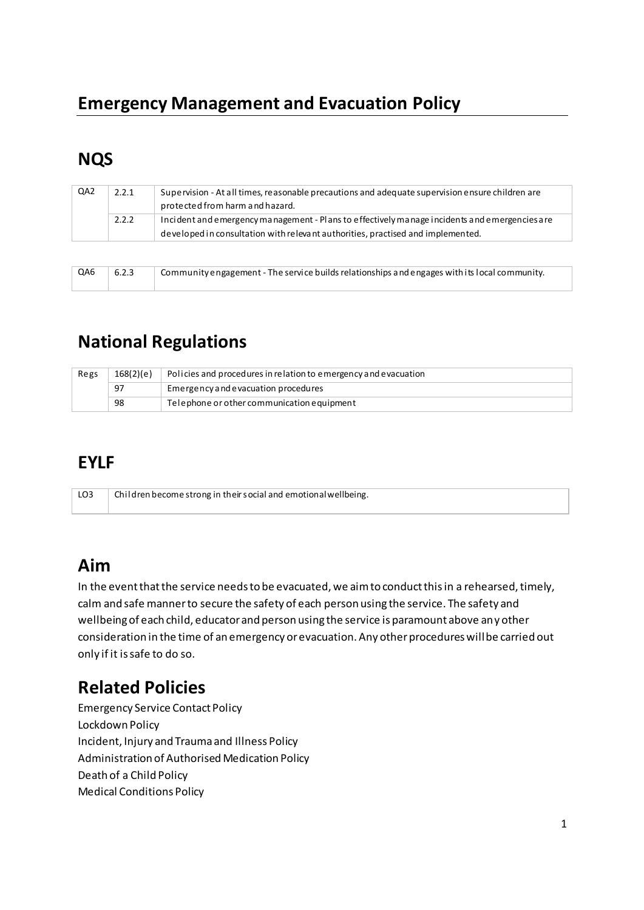# **Emergency Management and Evacuation Policy**

# **NQS**

| QA <sub>2</sub> | 2.2.1 | Supervision - At all times, reasonable precautions and adequate supervision ensure children are<br>protected from harm and hazard. |
|-----------------|-------|------------------------------------------------------------------------------------------------------------------------------------|
|                 | 2.2.2 | Incident and emergency management - Plans to effectively manage incidents and emergencies are                                      |
|                 |       | developed in consultation with relevant authorities, practised and implemented.                                                    |

| $\vert$ QA6 $\vert$ 6.2.3 | Community engagement - The service builds relationships and engages with its local community. |
|---------------------------|-----------------------------------------------------------------------------------------------|
|                           |                                                                                               |

# **National Regulations**

| Regs     | 168(2)(e)                           | Policies and procedures in relation to emergency and evacuation |
|----------|-------------------------------------|-----------------------------------------------------------------|
| 97<br>98 | Emergency and evacuation procedures |                                                                 |
|          |                                     | Telephone or other communication equipment                      |

## **EYLF**

| LO <sub>3</sub><br><sup>1</sup> Children become strong in their social and emotional wellbeing. |  |
|-------------------------------------------------------------------------------------------------|--|
|                                                                                                 |  |

## **Aim**

In the event that the service needs to be evacuated, we aim to conduct this in a rehearsed, timely, calm and safe manner to secure the safety of each person using the service. The safety and wellbeing of each child, educator and person using the service is paramount above any other consideration in the time of an emergency or evacuation. Any other procedures will be carried out only if it is safe to do so.

# **Related Policies**

Emergency Service Contact Policy Lockdown Policy Incident, Injury and Trauma and Illness Policy Administration of Authorised Medication Policy Death of a Child Policy Medical Conditions Policy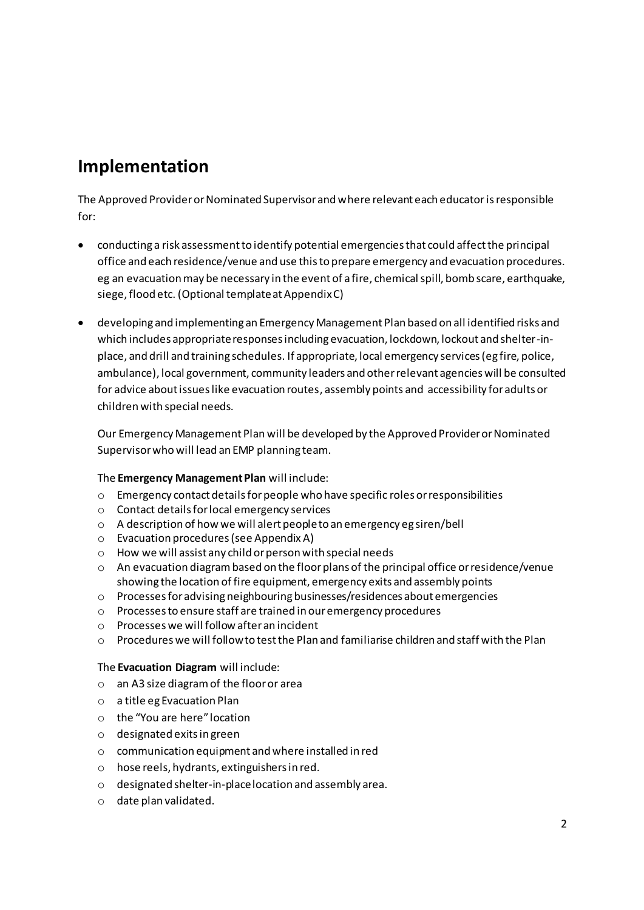## **Implementation**

The Approved Provider or Nominated Supervisor and where relevant each educatoris responsible for:

- conducting a risk assessment to identify potential emergencies that could affect the principal office and each residence/venue and use this to prepare emergency and evacuation procedures. eg an evacuation may be necessary in the event of a fire, chemical spill, bomb scare, earthquake, siege, flood etc. (Optional template at Appendix C)
- developing and implementing an Emergency Management Plan based on all identified risks and which includes appropriate responses including evacuation, lockdown, lockout and shelter-inplace, and drill and training schedules. If appropriate, local emergency services (eg fire, police, ambulance), local government, community leaders and other relevant agencies will be consulted for advice about issues like evacuation routes, assembly points and accessibility for adults or children with special needs.

Our Emergency Management Plan will be developed by the Approved Provider or Nominated Supervisor who will lead an EMP planning team.

#### The **Emergency Management Plan** will include:

- o Emergency contact details for people who have specific roles or responsibilities
- o Contact details for local emergency services
- o A description of how we will alert people to an emergency eg siren/bell
- o Evacuation procedures (see Appendix A)
- o How we will assist any child or person with special needs
- o An evacuation diagram based on the floor plans of the principal office or residence/venue showing the location of fire equipment, emergency exits and assembly points
- o Processes for advising neighbouring businesses/residences about emergencies
- o Processes to ensure staff are trained in our emergency procedures
- o Processes we will follow after an incident
- $\circ$  Procedures we will follow to test the Plan and familiarise children and staff with the Plan

#### The **Evacuation Diagram** will include:

- o an A3 size diagram of the floor or area
- o a title eg Evacuation Plan
- $\circ$  the "You are here" location
- o designated exits in green
- o communication equipment and where installed in red
- o hose reels, hydrants, extinguishers in red.
- o designated shelter-in-place location and assembly area.
- o date plan validated.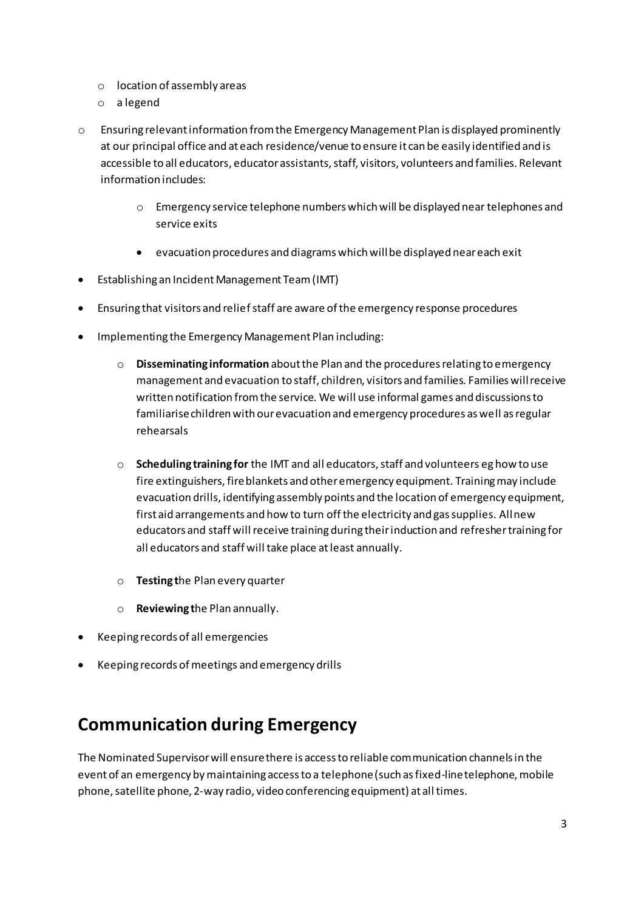- o location of assembly areas
- o a legend
- $\circ$  Ensuring relevant information from the Emergency Management Plan is displayed prominently at our principal office and at each residence/venue to ensure it can be easily identified and is accessible to all educators, educator assistants, staff, visitors, volunteers and families. Relevant information includes:
	- o Emergency service telephone numbers which will be displayed near telephones and service exits
	- evacuation procedures and diagrams which will be displayed near each exit
- Establishing an Incident Management Team (IMT)
- Ensuring that visitors and relief staff are aware of the emergency response procedures
- Implementing the Emergency Management Plan including:
	- o **Disseminating information** about the Plan and the procedures relating to emergency management and evacuation to staff, children, visitors and families. Families will receive written notification from the service. We will use informal games and discussions to familiarise children with our evacuation and emergency procedures as well as regular rehearsals
	- o **Scheduling training for** the IMT and all educators, staff and volunteers eg how to use fire extinguishers, fire blankets and other emergency equipment. Training may include evacuation drills, identifying assembly points and the location of emergency equipment, first aid arrangements and how to turn off the electricity and gas supplies. All new educators and staff will receive training during their induction and refresher training for all educators and staff will take place at least annually.
	- o **Testing t**he Plan every quarter
	- o **Reviewing t**he Plan annually.
- Keeping records of all emergencies
- Keeping records of meetings and emergency drills

## **Communication during Emergency**

The Nominated Supervisor will ensure there is access to reliable communication channels in the event of an emergency by maintaining access to a telephone (such as fixed-line telephone, mobile phone, satellite phone, 2-way radio, video conferencing equipment) at all times.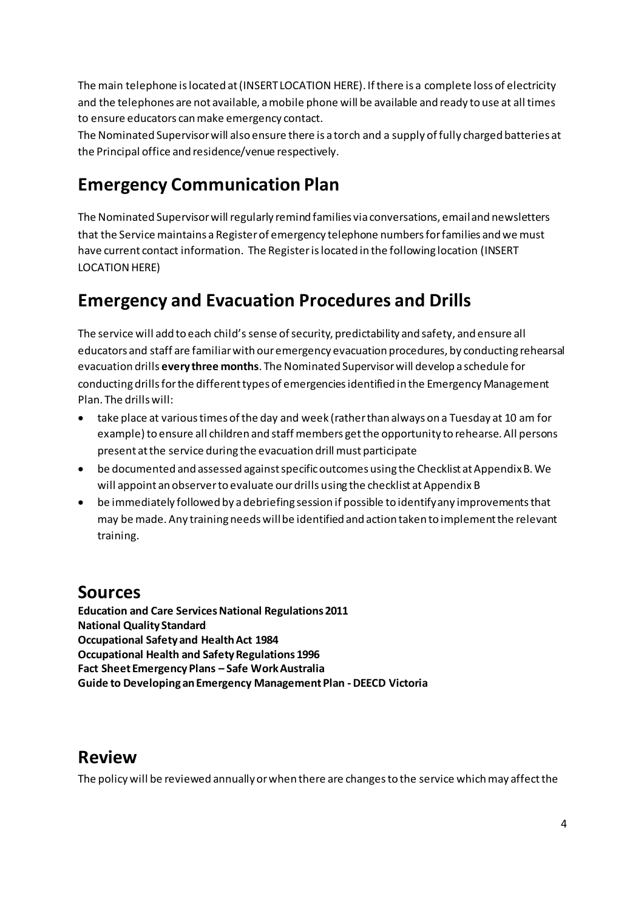The main telephone is located at (INSERT LOCATION HERE). If there is a complete loss of electricity and the telephones are not available, a mobile phone will be available and ready to use at all times to ensure educators can make emergency contact.

The Nominated Supervisor will also ensure there is a torch and a supply of fully charged batteries at the Principal office and residence/venue respectively.

# **Emergency Communication Plan**

The Nominated Supervisor will regularly remind families via conversations, email and newsletters that the Service maintains a Register of emergency telephone numbers for families and we must have current contact information. The Register is located in the following location (INSERT LOCATION HERE)

# **Emergency and Evacuation Procedures and Drills**

The service will add to each child's sense of security, predictability and safety, and ensure all educators and staff are familiar with our emergency evacuation procedures, by conducting rehearsal evacuation drills **every three months**. The Nominated Supervisor will develop a schedule for conducting drills for the different types of emergencies identified in the Emergency Management Plan. The drills will:

- take place at various times of the day and week (rather than always on a Tuesday at 10 am for example) to ensure all children and staff members get the opportunity to rehearse. All persons present at the service during the evacuation drill must participate
- be documented and assessed against specific outcomes using the Checklist at Appendix B. We will appoint an observer to evaluate our drills using the checklist at Appendix B
- be immediately followed by a debriefing session if possible to identify any improvements that may be made. Any training needs will be identified and action taken to implement the relevant training.

## **Sources**

**Education and Care Services National Regulations 2011 National Quality Standard Occupational Safety and Health Act 1984 Occupational Health and Safety Regulations 1996 Fact Sheet Emergency Plans – Safe Work Australia Guide to Developing an Emergency Management Plan - DEECD Victoria** 

## **Review**

The policy will be reviewed annually or when there are changes to the service which may affect the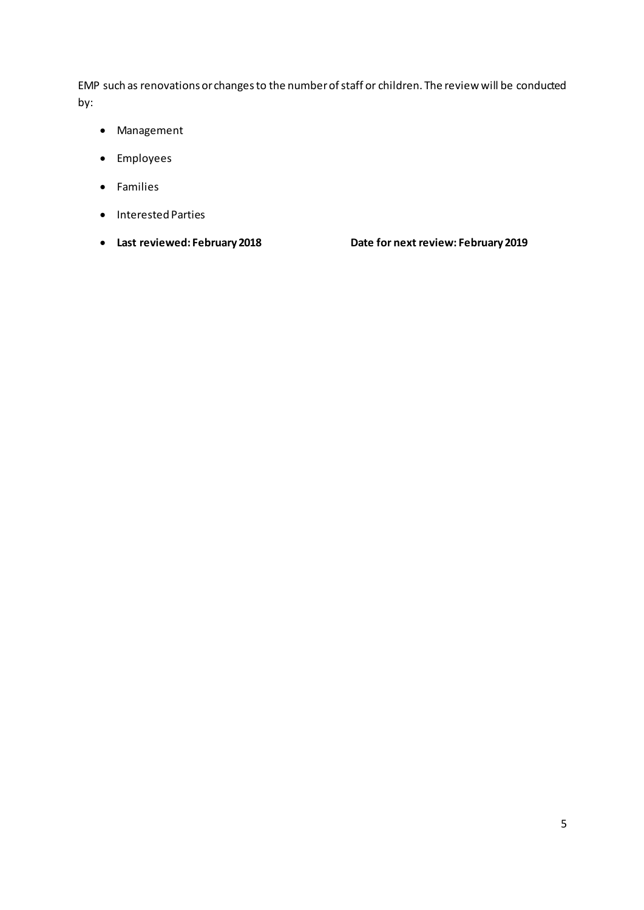EMP such as renovations or changes to the number of staff or children. The review will be conducted by:

- Management
- Employees
- Families
- Interested Parties
- 

• **Last reviewed: February 2018 Date for next review: February 2019**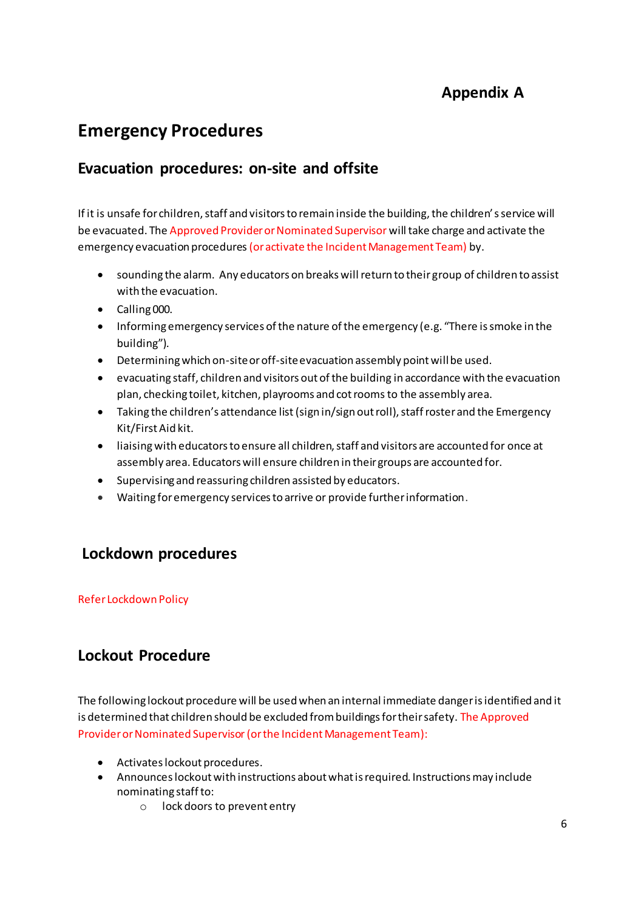## **Appendix A**

## **Emergency Procedures**

### **Evacuation procedures: on-site and offsite**

If it is unsafe for children, staff and visitors to remain inside the building, the children's service will be evacuated. The Approved Provider or Nominated Supervisor will take charge and activate the emergency evacuation procedures (or activate the Incident Management Team) by.

- sounding the alarm. Any educators on breaks will return to their group of children to assist with the evacuation.
- Calling 000.
- Informing emergency services of the nature of the emergency (e.g. "There is smoke in the building").
- Determining which on-site or off-site evacuation assembly point will be used.
- evacuating staff, children and visitors out of the building in accordance with the evacuation plan, checking toilet, kitchen, playrooms and cot rooms to the assembly area.
- Taking the children's attendance list (sign in/sign out roll), staff roster and the Emergency Kit/First Aid kit.
- liaising with educators to ensure all children, staff and visitors are accounted for once at assembly area. Educators will ensure children in their groups are accounted for.
- Supervising and reassuring children assisted by educators.
- Waiting for emergency services to arrive or provide further information.

### **Lockdown procedures**

#### Refer Lockdown Policy

### **Lockout Procedure**

The following lockout procedure will be used when an internal immediate danger is identified and it is determined that children should be excluded from buildings for their safety. The Approved Provider or Nominated Supervisor (or the Incident Management Team):

- Activates lockout procedures.
- Announces lockout with instructions about what is required. Instructions may include nominating staff to:
	- o lock doors to prevent entry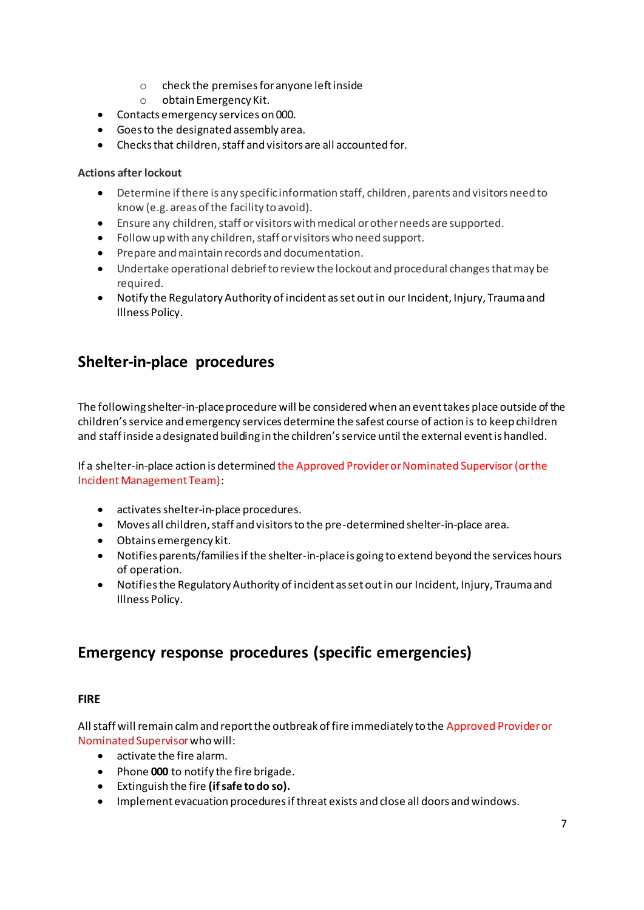- o check the premises for anyone left inside
- o obtain Emergency Kit.
- Contacts emergency services on 000.
- Goes to the designated assembly area.
- Checks that children, staff and visitors are all accounted for.

#### **Actions after lockout**

- Determine if there is any specific information staff, children, parents and visitors need to know (e.g. areas of the facility to avoid).
- Ensure any children, staff or visitors with medical or other needs are supported.
- Follow up with any children, staff or visitors who need support.
- Prepare and maintain records and documentation.
- Undertake operational debrief to review the lockout and procedural changes that may be required.
- Notify the Regulatory Authority of incident as set out in our Incident, Injury, Trauma and Illness Policy.

### **Shelter-in-place procedures**

The following shelter-in-place procedure will be considered when an event takes place outside of the children's service and emergency services determine the safest course of action is to keep children and staff inside a designated building in the children's service until the external event is handled.

If a shelter-in-place action is determined the Approved Provider or Nominated Supervisor (or the Incident Management Team):

- activates shelter-in-place procedures.
- Moves all children, staff and visitors to the pre-determined shelter-in-place area.
- Obtains emergency kit.
- Notifies parents/families if the shelter-in-place is going to extend beyond the services hours of operation.
- Notifies the Regulatory Authority of incident as set out in our Incident, Injury, Trauma and Illness Policy.

### **Emergency response procedures (specific emergencies)**

#### **FIRE**

All staff will remain calm and report the outbreak of fire immediately to the Approved Provider or Nominated Supervisorwho will:

- activate the fire alarm.
- Phone **000** to notify the fire brigade.
- Extinguish the fire **(if safe to do so).**
- Implement evacuation procedures if threat exists and close all doors and windows.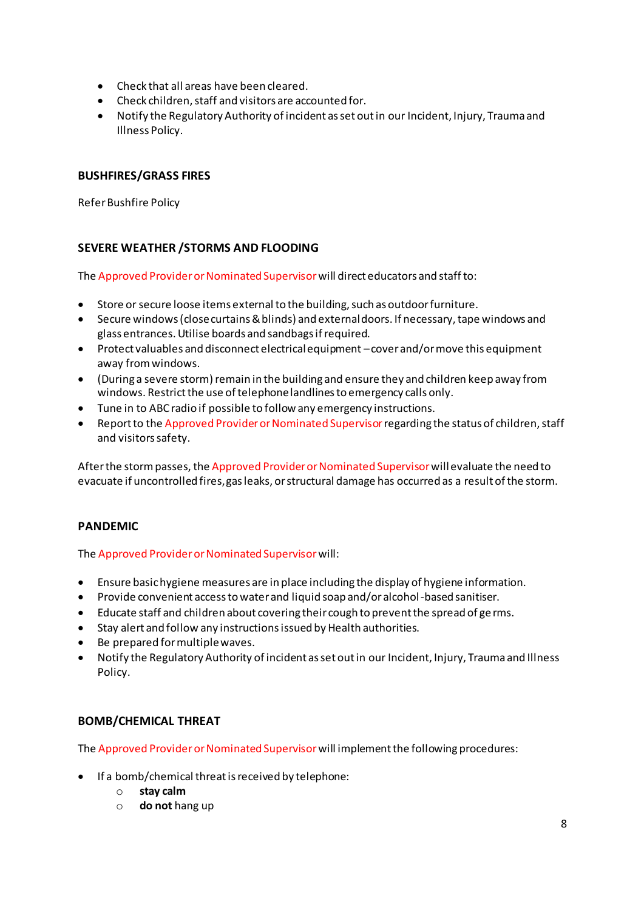- Check that all areas have been cleared.
- Check children, staff and visitors are accounted for.
- Notify the Regulatory Authority of incident as set out in our Incident, Injury, Trauma and Illness Policy.

#### **BUSHFIRES/GRASS FIRES**

Refer Bushfire Policy

#### **SEVERE WEATHER /STORMS AND FLOODING**

The Approved Provider or Nominated Supervisor will direct educators and staff to:

- Store or secure loose items external to the building, such as outdoor furniture.
- Secure windows (close curtains & blinds) and external doors. If necessary, tape windows and glass entrances. Utilise boards and sandbags if required.
- Protect valuables and disconnect electrical equipment cover and/or move this equipment away from windows.
- (During a severe storm) remain in the building and ensure they and children keep away from windows. Restrict the use of telephone landlines to emergency calls only.
- Tune in to ABC radio if possible to follow any emergency instructions.
- Report to the Approved Provider or Nominated Supervisor regarding the status of children, staff and visitors safety.

After the storm passes, the Approved Provider or Nominated Supervisor willevaluate the need to evacuate if uncontrolled fires, gas leaks, or structural damage has occurred as a result of the storm.

#### **PANDEMIC**

The Approved Provider or Nominated Supervisor will:

- Ensure basic hygiene measures are in place including the display of hygiene information.
- Provide convenient access to water and liquid soap and/or alcohol -based sanitiser.
- Educate staff and children about covering their cough to prevent the spread of ge rms.
- Stay alert and follow any instructions issued by Health authorities.
- Be prepared for multiple waves.
- Notify the Regulatory Authority of incident as set out in our Incident, Injury, Trauma and Illness Policy.

#### **BOMB/CHEMICAL THREAT**

The Approved Provider or Nominated Supervisor will implement the following procedures:

- If a bomb/chemical threat is received by telephone:
	- o **stay calm**
	- o **do not** hang up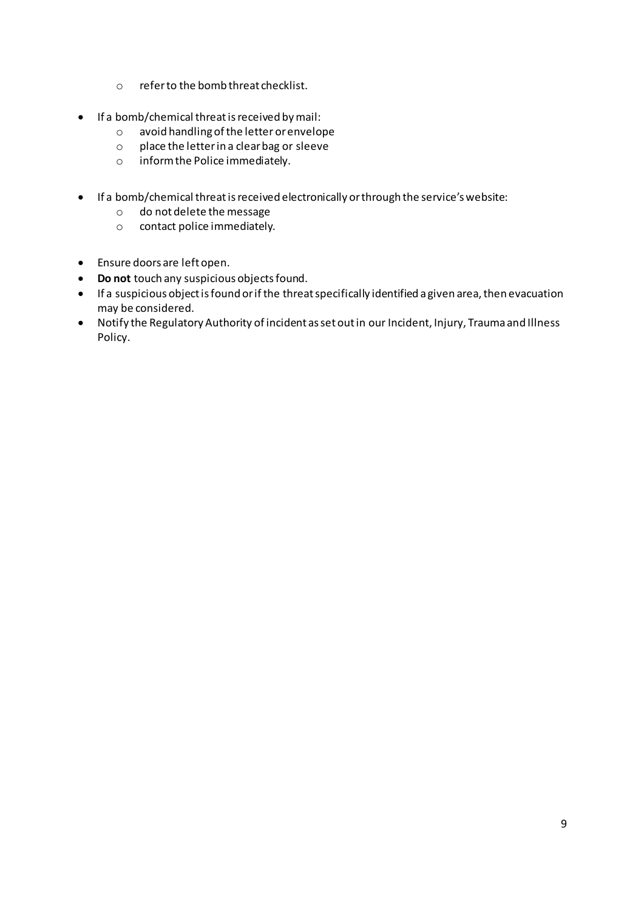- o refer to the bomb threat checklist.
- If a bomb/chemical threat is received by mail:
	- o avoid handling of the letter or envelope
	- o place the letter in a clear bag or sleeve
	- o inform the Police immediately.
- If a bomb/chemical threat is received electronically or through the service's website:
	- o do not delete the message
	- o contact police immediately.
- Ensure doors are left open.
- **Do not** touch any suspicious objects found.
- If a suspicious object is found or if the threat specifically identified a given area, then evacuation may be considered.
- Notify the Regulatory Authority of incident as set out in our Incident, Injury, Trauma and Illness Policy.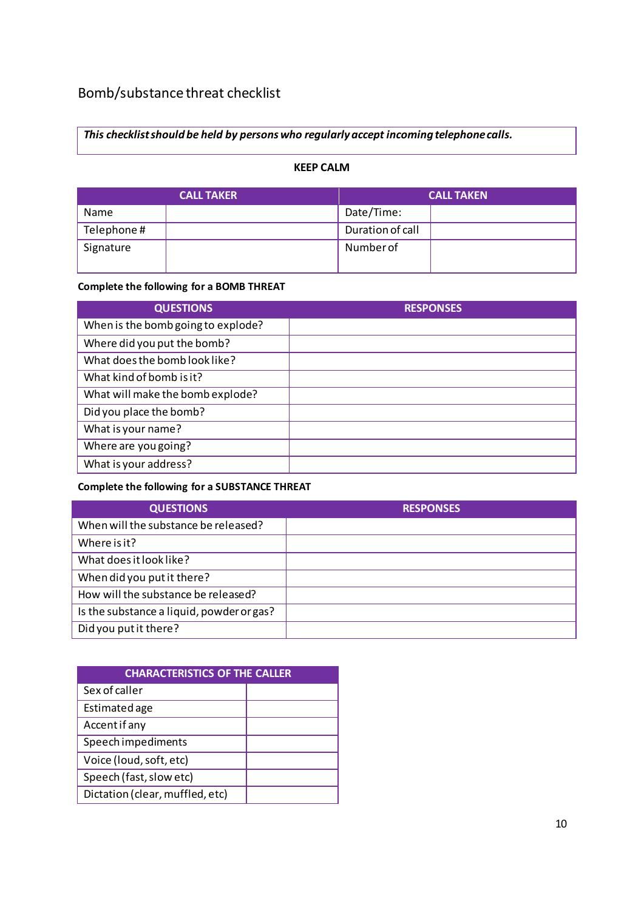## Bomb/substance threat checklist

*This checklist should be held by persons who regularly accept incoming telephone calls.* 

#### **KEEP CALM**

| <b>CALL TAKER</b> | <b>CALL TAKEN</b> |
|-------------------|-------------------|
| <b>Name</b>       | Date/Time:        |
| Telephone#        | Duration of call  |
| Signature         | Number of         |

#### **Complete the following for a BOMB THREAT**

| <b>QUESTIONS</b>                   | <b>RESPONSES</b> |
|------------------------------------|------------------|
| When is the bomb going to explode? |                  |
| Where did you put the bomb?        |                  |
| What does the bomb look like?      |                  |
| What kind of bomb is it?           |                  |
| What will make the bomb explode?   |                  |
| Did you place the bomb?            |                  |
| What is your name?                 |                  |
| Where are you going?               |                  |
| What is your address?              |                  |

#### **Complete the following for a SUBSTANCE THREAT**

| <b>QUESTIONS</b>                          | <b>RESPONSES</b> |
|-------------------------------------------|------------------|
| When will the substance be released?      |                  |
| Where is it?                              |                  |
| What does it look like?                   |                  |
| When did you put it there?                |                  |
| How will the substance be released?       |                  |
| Is the substance a liquid, powder or gas? |                  |
| Did you put it there?                     |                  |

| <b>CHARACTERISTICS OF THE CALLER</b> |  |  |
|--------------------------------------|--|--|
| Sex of caller                        |  |  |
| Estimated age                        |  |  |
| Accent if any                        |  |  |
| Speech impediments                   |  |  |
| Voice (loud, soft, etc)              |  |  |
| Speech (fast, slow etc)              |  |  |
| Dictation (clear, muffled, etc)      |  |  |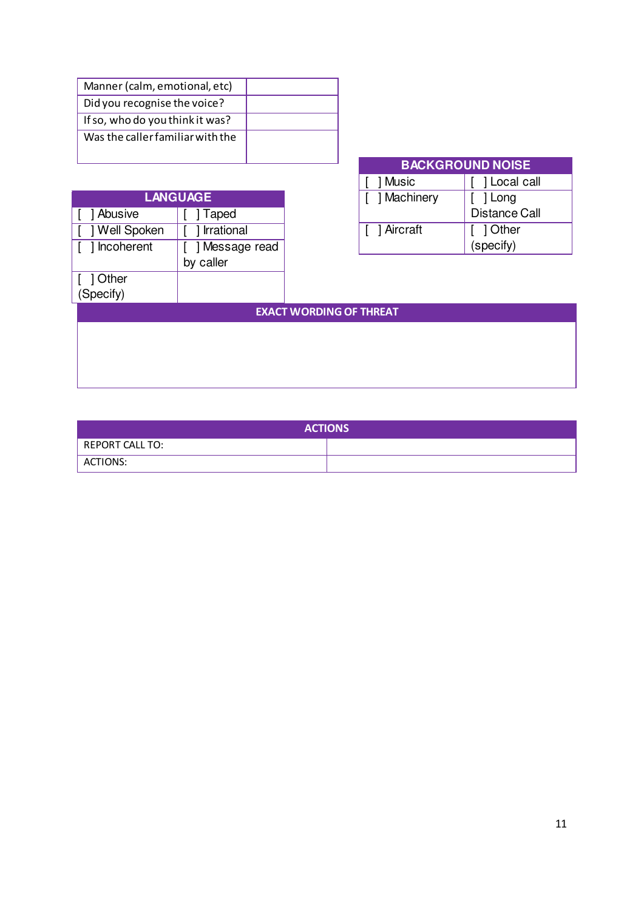| Manner (calm, emotional, etc)    |  |
|----------------------------------|--|
| Did you recognise the voice?     |  |
| If so, who do you think it was?  |  |
| Was the caller familiar with the |  |
|                                  |  |

| <b>LANGUAGE</b> |              | Ma                             |      |
|-----------------|--------------|--------------------------------|------|
| Abusive         | Taped        |                                |      |
| ] Well Spoken   | Irrational   |                                | Airo |
| ] Incoherent    | Message read |                                |      |
|                 | by caller    |                                |      |
| 1 Other         |              |                                |      |
| (Specify)       |              |                                |      |
|                 |              | <b>EXACT WORDING OF THREAT</b> |      |
|                 |              |                                |      |

| <b>BACKGROUND NOISE</b> |                         |  |
|-------------------------|-------------------------|--|
| 1 Music                 | 1 Local call            |  |
| [ ] Machinery           | ] Long<br>Distance Call |  |
| [ ] Aircraft            | [ ] Other<br>(specify)  |  |

| <b>ACTIONS</b>  |  |  |
|-----------------|--|--|
| REPORT CALL TO: |  |  |
| ACTIONS:        |  |  |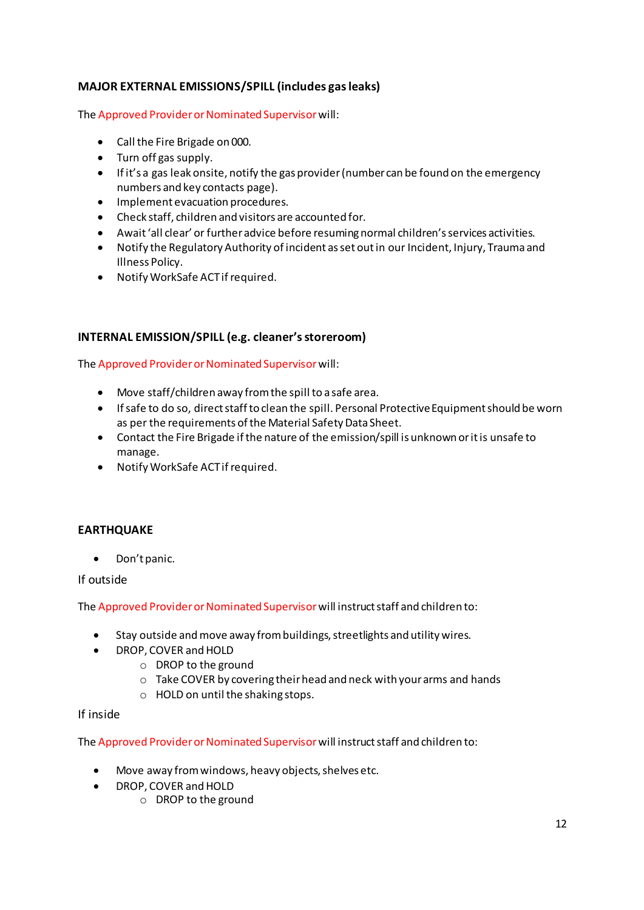#### **MAJOR EXTERNAL EMISSIONS/SPILL (includes gas leaks)**

The Approved Provider or Nominated Supervisor will:

- Call the Fire Brigade on 000.
- Turn off gas supply.
- $\bullet$  If it's a gas leak onsite, notify the gas provider (number can be found on the emergency numbers and key contacts page).
- Implement evacuation procedures.
- Check staff, children and visitors are accounted for.
- Await 'all clear' or further advice before resuming normal children's services activities.
- Notify the Regulatory Authority of incident as set out in our Incident, Injury, Trauma and Illness Policy.
- Notify WorkSafe ACT if required.

#### **INTERNAL EMISSION/SPILL (e.g. cleaner's storeroom)**

The Approved Provider or Nominated Supervisor will:

- Move staff/children away from the spill to a safe area.
- If safe to do so, direct staff to clean the spill. Personal Protective Equipment should be worn as per the requirements of the Material Safety Data Sheet.
- Contact the Fire Brigade if the nature of the emission/spill is unknown or it is unsafe to manage.
- Notify WorkSafe ACT if required.

#### **EARTHQUAKE**

• Don't panic.

If outside

The Approved Provider or Nominated Supervisor will instruct staff and children to:

- Stay outside and move away from buildings, streetlights and utility wires.
- DROP, COVER and HOLD
	- o DROP to the ground
	- o Take COVER by covering their head and neck with your arms and hands
	- o HOLD on until the shaking stops.

#### If inside

The Approved Provider or Nominated Supervisor will instruct staff and children to:

- Move away from windows, heavy objects, shelves etc.
- DROP, COVER and HOLD
	- o DROP to the ground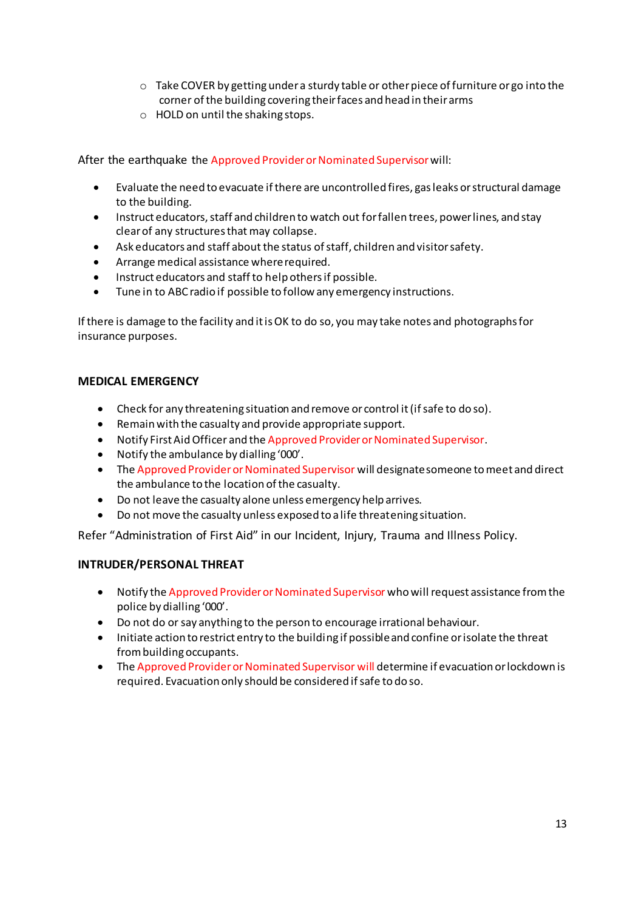- o Take COVER by getting under a sturdy table or other piece of furniture or go into the corner of the building covering their faces and head in their arms
- o HOLD on until the shaking stops.

After the earthquake the Approved Provider or Nominated Supervisor will:

- Evaluate the need to evacuate if there are uncontrolled fires, gas leaks or structural damage to the building.
- Instruct educators, staff and children to watch out for fallen trees, power lines, and stay clear of any structures that may collapse.
- Ask educators and staff about the status of staff, children and visitor safety.
- Arrange medical assistance where required.
- Instruct educators and staff to help others if possible.
- Tune in to ABC radio if possible to follow any emergency instructions.

If there is damage to the facility and it is OK to do so, you may take notes and photographs for insurance purposes.

#### **MEDICAL EMERGENCY**

- Check for any threatening situation and remove or control it (if safe to do so).
- Remain with the casualty and provide appropriate support.
- Notify First Aid Officer and the Approved Provider or Nominated Supervisor.
- Notify the ambulance by dialling  $'000'$ .
- The Approved Provider or Nominated Supervisor will designate someone to meet and direct the ambulance to the location of the casualty.
- Do not leave the casualty alone unless emergency help arrives.
- Do not move the casualty unless exposed to a life threatening situation.

Refer "Administration of First Aid" in our Incident, Injury, Trauma and Illness Policy.

#### **INTRUDER/PERSONAL THREAT**

- Notify the Approved Provider or Nominated Supervisor who will request assistance from the police by dialling '000'.
- Do not do or say anything to the person to encourage irrational behaviour.
- Initiate action to restrict entry to the building if possible and confine or isolate the threat from building occupants.
- The Approved Provider or Nominated Supervisor will determine if evacuation or lockdown is required. Evacuation only should be considered if safe to do so.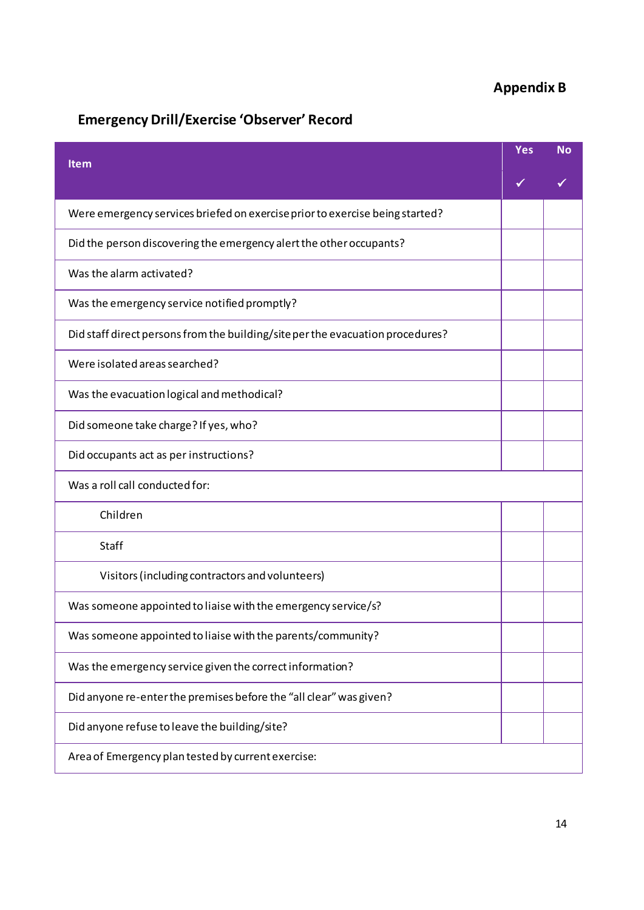## **Appendix B**

## **Emergency Drill/Exercise 'Observer' Record**

| Item                                                                           | Yes | <b>No</b> |
|--------------------------------------------------------------------------------|-----|-----------|
|                                                                                |     |           |
| Were emergency services briefed on exercise prior to exercise being started?   |     |           |
| Did the person discovering the emergency alert the other occupants?            |     |           |
| Was the alarm activated?                                                       |     |           |
| Was the emergency service notified promptly?                                   |     |           |
| Did staff direct persons from the building/site per the evacuation procedures? |     |           |
| Were isolated areas searched?                                                  |     |           |
| Was the evacuation logical and methodical?                                     |     |           |
| Did someone take charge? If yes, who?                                          |     |           |
| Did occupants act as per instructions?                                         |     |           |
| Was a roll call conducted for:                                                 |     |           |
| Children                                                                       |     |           |
| Staff                                                                          |     |           |
| Visitors (including contractors and volunteers)                                |     |           |
| Was someone appointed to liaise with the emergency service/s?                  |     |           |
| Was someone appointed to liaise with the parents/community?                    |     |           |
| Was the emergency service given the correct information?                       |     |           |
| Did anyone re-enter the premises before the "all clear" was given?             |     |           |
| Did anyone refuse to leave the building/site?                                  |     |           |
| Area of Emergency plan tested by current exercise:                             |     |           |